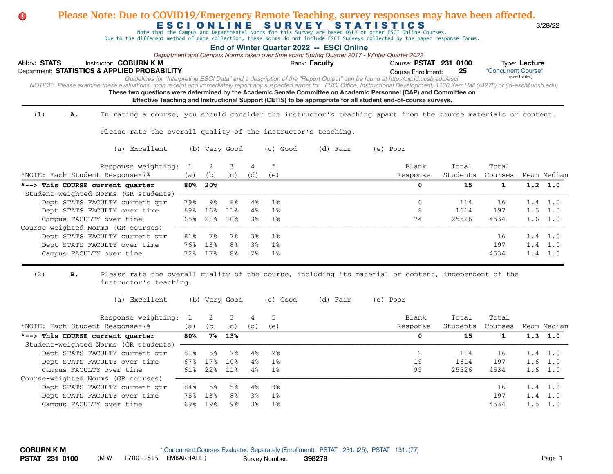| Please Note: Due to COVID19/Emergency Remote Teaching, survey responses may have been affected.<br>$\bullet$<br>Due to the different method of data collection, these Norms do not include ESCI Surveys collected by the paper response forms.                                                                                                                                                            |              |           |               |          |          | <b>ESCIONLINE SURVEY STATISTICS</b><br>Note that the Campus and Departmental Norms for this Survey are based ONLY on other ESCI Online Courses.                                                                                                                                                                                                                                                             |          |                                                     |          |                     |                               | 3/28/22     |
|-----------------------------------------------------------------------------------------------------------------------------------------------------------------------------------------------------------------------------------------------------------------------------------------------------------------------------------------------------------------------------------------------------------|--------------|-----------|---------------|----------|----------|-------------------------------------------------------------------------------------------------------------------------------------------------------------------------------------------------------------------------------------------------------------------------------------------------------------------------------------------------------------------------------------------------------------|----------|-----------------------------------------------------|----------|---------------------|-------------------------------|-------------|
| Abbrv: STATS<br>Instructor: COBURN K M<br>Department: STATISTICS & APPLIED PROBABILITY<br>NOTICE: Please examine these evaluations upon receipt and immediately report any suspected errors to: ESCI Office, Instructional Development, 1130 Kerr Hall (x4278) or (id-esci@ucsb.edu)<br>These two questions were determined by the Academic Senate Committee on Academic Personnel (CAP) and Committee on |              |           |               |          |          | End of Winter Quarter 2022 -- ESCI Online<br>Department and Campus Norms taken over time span: Spring Quarter 2017 - Winter Quarter 2022<br>Rank: Faculty<br>Guidelines for "Interpreting ESCI Data" and a description of the "Report Output" can be found at http://oic.id.ucsb.edu/esci.<br>Effective Teaching and Instructional Support (CETIS) to be appropriate for all student end-of-course surveys. |          | Course: PSTAT 231 0100<br><b>Course Enrollment:</b> | 25       | *Concurrent Course* | Type: Lecture<br>(see footer) |             |
| (1)<br>In rating a course, you should consider the instructor's teaching apart from the course materials or content.<br>Α.                                                                                                                                                                                                                                                                                |              |           |               |          |          |                                                                                                                                                                                                                                                                                                                                                                                                             |          |                                                     |          |                     |                               |             |
| Please rate the overall quality of the instructor's teaching.                                                                                                                                                                                                                                                                                                                                             |              |           |               |          |          |                                                                                                                                                                                                                                                                                                                                                                                                             |          |                                                     |          |                     |                               |             |
| (a) Excellent                                                                                                                                                                                                                                                                                                                                                                                             |              |           | (b) Very Good |          | (c) Good | (d) Fair                                                                                                                                                                                                                                                                                                                                                                                                    | (e) Poor |                                                     |          |                     |                               |             |
| Response weighting:                                                                                                                                                                                                                                                                                                                                                                                       | 1            | 2         | 3             | 4        | 5        |                                                                                                                                                                                                                                                                                                                                                                                                             |          | Blank                                               | Total    | Total               |                               |             |
| *NOTE: Each Student Response=7%                                                                                                                                                                                                                                                                                                                                                                           | (a)          | (b)       | (c)           | (d)      | (e)      |                                                                                                                                                                                                                                                                                                                                                                                                             |          | Response                                            | Students | Courses             |                               | Mean Median |
| *--> This COURSE current quarter                                                                                                                                                                                                                                                                                                                                                                          | 80%          | 20%       |               |          |          |                                                                                                                                                                                                                                                                                                                                                                                                             |          | 0                                                   | 15       | $\mathbf{1}$        | 1.2                           | 1.0         |
| Student-weighted Norms (GR students)                                                                                                                                                                                                                                                                                                                                                                      |              |           |               |          |          |                                                                                                                                                                                                                                                                                                                                                                                                             |          |                                                     |          |                     |                               |             |
| Dept STATS FACULTY current qtr                                                                                                                                                                                                                                                                                                                                                                            | 79%          | 9%        | 8%            | 4%       | 1%       |                                                                                                                                                                                                                                                                                                                                                                                                             |          | $\overline{0}$                                      | 114      | 16                  | 1.4                           | 1.0         |
| Dept STATS FACULTY over time                                                                                                                                                                                                                                                                                                                                                                              | 69%          | 16%       | 11%           | 4%       | 1%       |                                                                                                                                                                                                                                                                                                                                                                                                             |          | 8                                                   | 1614     | 197                 | 1.5                           | 1.0         |
| Campus FACULTY over time                                                                                                                                                                                                                                                                                                                                                                                  | 65%          | 21%       | 10%           | 3%       | $1\%$    |                                                                                                                                                                                                                                                                                                                                                                                                             |          | 74                                                  | 25526    | 4534                | 1.6                           | 1.0         |
| Course-weighted Norms (GR courses)<br>Dept STATS FACULTY current qtr                                                                                                                                                                                                                                                                                                                                      | 81%          | 7%        | 7%            | 3%       | 1%       |                                                                                                                                                                                                                                                                                                                                                                                                             |          |                                                     |          | 16                  | 1.4                           | 1.0         |
| Dept STATS FACULTY over time                                                                                                                                                                                                                                                                                                                                                                              | 76%          | 13%       | 8%            | 3%       | 1%       |                                                                                                                                                                                                                                                                                                                                                                                                             |          |                                                     |          | 197                 | 1.4                           | 1.0         |
| Campus FACULTY over time                                                                                                                                                                                                                                                                                                                                                                                  | 72%          | 17%       | 8%            | 2%       | 1%       |                                                                                                                                                                                                                                                                                                                                                                                                             |          |                                                     |          | 4534                | $1.4 \quad 1.0$               |             |
| Please rate the overall quality of the course, including its material or content, independent of the<br>(2)<br>в.<br>instructor's teaching.                                                                                                                                                                                                                                                               |              |           |               |          |          |                                                                                                                                                                                                                                                                                                                                                                                                             |          |                                                     |          |                     |                               |             |
| (a) Excellent                                                                                                                                                                                                                                                                                                                                                                                             |              |           | (b) Very Good |          | (c) Good | (d) Fair                                                                                                                                                                                                                                                                                                                                                                                                    | (e) Poor |                                                     |          |                     |                               |             |
| Response weighting:                                                                                                                                                                                                                                                                                                                                                                                       | $\mathbf{1}$ | 2         | 3             | 4        | 5        |                                                                                                                                                                                                                                                                                                                                                                                                             |          | Blank                                               | Total    | Total               |                               |             |
| *NOTE: Each Student Response=7%                                                                                                                                                                                                                                                                                                                                                                           | (a)          | (b)       | (c)           | (d)      | (e)      |                                                                                                                                                                                                                                                                                                                                                                                                             |          | Response                                            | Students | Courses             |                               | Mean Median |
| *--> This COURSE current quarter                                                                                                                                                                                                                                                                                                                                                                          | 80%          | 7%        | 13%           |          |          |                                                                                                                                                                                                                                                                                                                                                                                                             |          | 0                                                   | 15       | $\mathbf{1}$        | $1.3 \quad 1.0$               |             |
| Student-weighted Norms (GR students)                                                                                                                                                                                                                                                                                                                                                                      |              |           |               |          |          |                                                                                                                                                                                                                                                                                                                                                                                                             |          |                                                     |          |                     |                               |             |
| Dept STATS FACULTY current qtr                                                                                                                                                                                                                                                                                                                                                                            | 81%          | 5%        | 7%            | 4%       | 2%       |                                                                                                                                                                                                                                                                                                                                                                                                             |          | 2                                                   | 114      | 16                  | 1.4                           | 1.0         |
| Dept STATS FACULTY over time                                                                                                                                                                                                                                                                                                                                                                              | 67%          | 17%       | 10%           | 4%       | 1%       |                                                                                                                                                                                                                                                                                                                                                                                                             |          | 19                                                  | 1614     | 197                 | 1.6                           | 1.0         |
| Campus FACULTY over time                                                                                                                                                                                                                                                                                                                                                                                  | 61%          | 22%       | 11%           | 4%       | $1\%$    |                                                                                                                                                                                                                                                                                                                                                                                                             |          | 99                                                  | 25526    | 4534                | 1.6                           | 1.0         |
| Course-weighted Norms (GR courses)                                                                                                                                                                                                                                                                                                                                                                        |              |           | 5%            |          | 3%       |                                                                                                                                                                                                                                                                                                                                                                                                             |          |                                                     |          |                     |                               |             |
| Dept STATS FACULTY current qtr<br>Dept STATS FACULTY over time                                                                                                                                                                                                                                                                                                                                            | 84%<br>75%   | 5%<br>13% | 8%            | 4%<br>38 | 1%       |                                                                                                                                                                                                                                                                                                                                                                                                             |          |                                                     |          | 16<br>197           | 1.4<br>1.4                    | 1.0<br>1.0  |
| Campus FACULTY over time                                                                                                                                                                                                                                                                                                                                                                                  | 69%          | 19%       | 9%            | 38       | $1\%$    |                                                                                                                                                                                                                                                                                                                                                                                                             |          |                                                     |          | 4534                | 1.5                           | 1.0         |
|                                                                                                                                                                                                                                                                                                                                                                                                           |              |           |               |          |          |                                                                                                                                                                                                                                                                                                                                                                                                             |          |                                                     |          |                     |                               |             |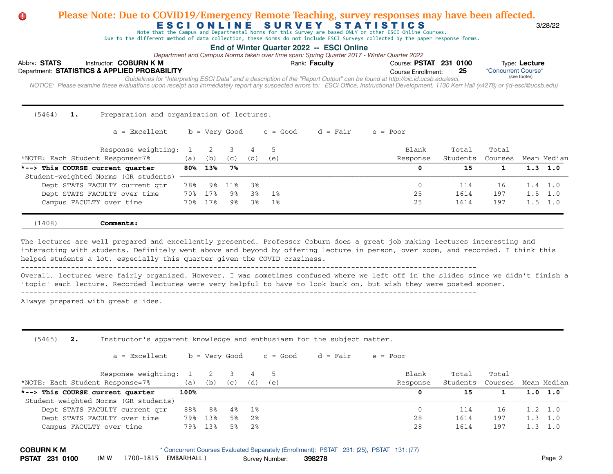# Abbrv: STATS Instructor: COBURN K M **COUR EXECUTS** Rank: Faculty **Property Course: PSTAT 231 0100** Type: Lecture Course Enrollment:  *NOTICE: Please examine these evaluations upon receipt and immediately report any suspected errors to: ESCI Office, Instructional Development, 1130 Kerr Hall (x4278) or (id-esci@ucsb.edu)*  Department: **STATISTICS & APPLIED PROBABILITY 25** E S C I O N L I N E S U R V E Y S T A T I S T I C S 3/28/22 **End of Winter Quarter 2022 -- ESCI Online** \*Concurrent Course\* *Guidelines for "Interpreting ESCI Data" and a description of the "Report Output" can be found at http://oic.id.ucsb.edu/esci. Department and Campus Norms taken over time span: Spring Quarter 2017 - Winter Quarter 2022* Note that the Campus and Departmental Norms for this Survey are based ONLY on other ESCI Online Courses. Due to the different method of data collection, these Norms do not include ESCI Surveys collected by the paper response forms. (see footer) **Please Note: Due to COVID19/Emergency Remote Teaching, survey responses may have been affected.** (5464) **1.** Preparation and organization of lectures.  $a =$  Excellent b = Very Good c = Good d = Fair e = Poor Response weighting: 1 2 3 4 5 Blank Total Total \*NOTE: Each Student Response=7% (a) (b) (c) (d) (e) Response Students Courses Mean Median **\*--> This COURSE current quarter 80% 13% 7% 0 15 1 1.3 1.0**  Student-weighted Norms (GR students) - Dept STATS FACULTY current qtr 78% 9% 11% 3% 0 114 16 1.4 1.0 Dept STATS FACULTY over time 70% 17% 9% 3% 1% 25 1614 197 1.5 1.0 Campus FACULTY over time 70% 17% 9% 3% 1% 25 1614 197 1.5 1.0 **These two questions were determined by the Academic Senate Committee on Academic Personnel (CAP) and Committee on**  (1408) **Comments:** The lectures are well prepared and excellently presented. Professor Coburn does a great job making lectures interesting and interacting with students. Definitely went above and beyond by offering lecture in person, over zoom, and recorded. I think this helped students a lot, especially this quarter given the COVID craziness. ------------------------------------------------------------------------------------------------------------- Overall, lectures were fairly organized. However, I was sometimes confused where we left off in the slides since we didn't finish a 'topic' each lecture. Recorded lectures were very helpful to have to look back on, but wish they were posted sooner. ------------------------------------------------------------------------------------------------------------- Always prepared with great slides. (5465) **2.** Instructor's apparent knowledge and enthusiasm for the subject matter.  $a =$  Excellent b = Very Good c = Good d = Fair e = Poor Response weighting: 1 2 3 4 5 Blank Total Total Total \*NOTE: Each Student Response=7% (a) (b) (c) (d) (e) Response Students Courses Mean Median

| *--> This COURSE current quarter       | 100% |              |       |       |    |     |     |  |
|----------------------------------------|------|--------------|-------|-------|----|-----|-----|--|
| Student-weighted Norms (GR students) - |      |              |       |       |    |     |     |  |
| Dept STATS FACULTY current gtr         |      | 88% 8% 4% 1% |       |       |    |     | 16  |  |
| Dept STATS FACULTY over time           |      | 79% 13%      | 5% 2% |       | 28 | 614 | 197 |  |
| Campus FACULTY over time               |      | 79% 13%      | 5%    | $2\%$ | 28 | 614 | 197 |  |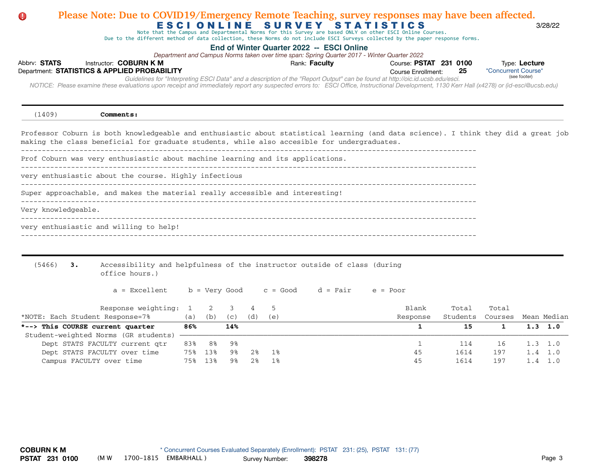#### Abbrv: STATS Instructor: COBURN K M **COUR EXECUTS** Rank: Faculty **Property Course: PSTAT 231 0100** Type: Lecture Course Enrollment:  *NOTICE: Please examine these evaluations upon receipt and immediately report any suspected errors to: ESCI Office, Instructional Development, 1130 Kerr Hall (x4278) or (id-esci@ucsb.edu)*  Department: **STATISTICS & APPLIED PROBABILITY 25** E S C I O N L I N E S U R V E Y S T A T I S T I C S 3/28/22 **End of Winter Quarter 2022 -- ESCI Online** \*Concurrent Course\* *Guidelines for "Interpreting ESCI Data" and a description of the "Report Output" can be found at http://oic.id.ucsb.edu/esci. Department and Campus Norms taken over time span: Spring Quarter 2017 - Winter Quarter 2022* Note that the Campus and Departmental Norms for this Survey are based ONLY on other ESCI Online Courses. Due to the different method of data collection, these Norms do not include ESCI Surveys collected by the paper response forms. (see footer) (1409) **Comments:** Professor Coburn is both knowledgeable and enthusiastic about statistical learning (and data science). I think they did a great job making the class beneficial for graduate students, while also accesible for undergraduates. ------------------------------------------------------------------------------------------------------------- Prof Coburn was very enthusiastic about machine learning and its applications. ------------------------------------------------------------------------------------------------------------ very enthusiastic about the course. Highly infectious ------------------------------------------------------------------------------------------------------------- Super approachable, and makes the material really accessible and interesting! ------------------------------------------------------------------------------------------------------------- Very knowledgeable. ------------------------------------------------------------------------------------------------------------ very enthusiastic and willing to help! ------------------------------------------------------------------------------------------------------------- (5466) **3.** Accessibility and helpfulness of the instructor outside of class (during office hours.)

**Please Note: Due to COVID19/Emergency Remote Teaching, survey responses may have been affected.**

 $a =$  Excellent b = Very Good c = Good d = Fair e = Poor

| Response weighting:                  |     |     |      |     |     | Blank    | Total    | Total   |                 |                 |
|--------------------------------------|-----|-----|------|-----|-----|----------|----------|---------|-----------------|-----------------|
| *NOTE: Each Student Response=7%      | (a) | (b) | (C)  | (d) | (e) | Response | Students | Courses |                 | Mean Median     |
| *--> This COURSE current quarter     | 86% |     | 14%  |     |     |          |          |         | $1.3 \quad 1.0$ |                 |
| Student-weighted Norms (GR students) |     |     |      |     |     |          |          |         |                 |                 |
| Dept STATS FACULTY current qtr       | 83% | 8%  | - 9% |     |     |          | 114      | 16      | $1.3 \quad 1.0$ |                 |
| Dept STATS FACULTY over time         | 75% | 13% | ୨ୡ   | 2%  | 1 ዩ | 45       | 1614     | 197     | $1.4 \quad 1.0$ |                 |
| Campus FACULTY over time             | 75% | 13% | 9%   | 2%  |     | 45       | 1614     | 197     |                 | $1.4 \quad 1.0$ |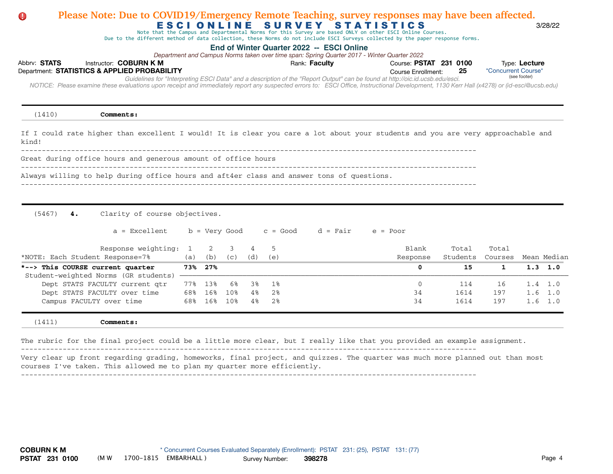# Abbrv: STATS Instructor: COBURN K M **COUR EXECUTS** Rank: Faculty **Property Course: PSTAT 231 0100** Type: Lecture Course Enrollment:  *NOTICE: Please examine these evaluations upon receipt and immediately report any suspected errors to: ESCI Office, Instructional Development, 1130 Kerr Hall (x4278) or (id-esci@ucsb.edu)*  Department: **STATISTICS & APPLIED PROBABILITY 25** E S C I O N L I N E S U R V E Y S T A T I S T I C S 3/28/22 **End of Winter Quarter 2022 -- ESCI Online** \*Concurrent Course\* *Guidelines for "Interpreting ESCI Data" and a description of the "Report Output" can be found at http://oic.id.ucsb.edu/esci. Department and Campus Norms taken over time span: Spring Quarter 2017 - Winter Quarter 2022* Note that the Campus and Departmental Norms for this Survey are based ONLY on other ESCI Online Courses. Due to the different method of data collection, these Norms do not include ESCI Surveys collected by the paper response forms. (see footer) **Please Note: Due to COVID19/Emergency Remote Teaching, survey responses may have been affected.** (1410) **Comments:** If I could rate higher than excellent I would! It is clear you care a lot about your students and you are very approachable and kind! ------------------------------------------------------------------------------------------------------------- Great during office hours and generous amount of office hours ------------------------------------------------------------------------------------------------------------- Always willing to help during office hours and aft4er class and answer tons of questions.  $-$ (5467) **4.** Clarity of course objectives.  $a =$  Excellent b = Very Good c = Good d = Fair e = Poor Response weighting: 1 2 3 4 5 Blank Total Total Total \*NOTE: Each Student Response=7% (a) (b) (c) (d) (e) Response Students Courses Mean Median **\*--> This COURSE current quarter 73% 27% 0 15 1 1.3 1.0**  Student-weighted Norms (GR students) - Dept STATS FACULTY current qtr 77% 13% 6% 3% 1% 0 114 16 1.4 1.0 Dept STATS FACULTY over time 58% 16% 10% 4% 2% 34 1614 197 1.6 1.0 Campus FACULTY over time 68% 16% 10% 4% 2% 34 1614 197 1.6 1.0 (1411) **Comments:** The rubric for the final project could be a little more clear, but I really like that you provided an example assignment. Very clear up front regarding grading, homeworks, final project, and quizzes. The quarter was much more planned out than most courses I've taken. This allowed me to plan my quarter more efficiently. -------------------------------------------------------------------------------------------------------------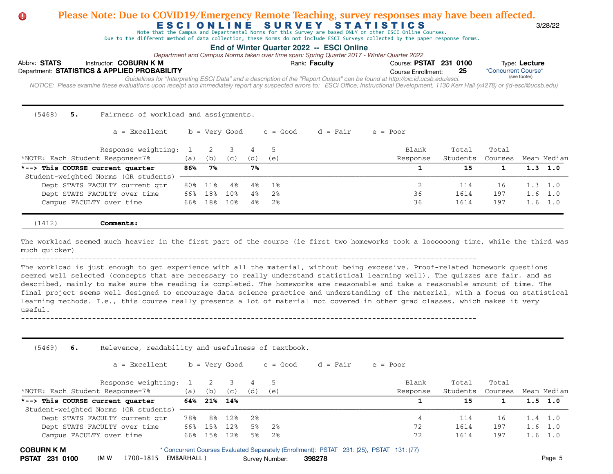## E S C I O N L I N E S U R V E Y S T A T I S T I C S 3/28/22 **Please Note: Due to COVID19/Emergency Remote Teaching, survey responses may have been affected.**

Note that the Campus and Departmental Norms for this Survey are based ONLY on other ESCI Online Courses.

Due to the different method of data collection, these Norms do not include ESCI Surveys collected by the paper response forms.

#### **End of Winter Quarter 2022 -- ESCI Online**

*Department and Campus Norms taken over time span: Spring Quarter 2017 - Winter Quarter 2022*

| Abbrv: STATS |  | Instructor: COBURN K M                       |                                                                                                                               | Rank: <b>Faculty</b> | Course: PSTAT 231 0100 |    | Type: Lecture                                                                                                                                                                              |
|--------------|--|----------------------------------------------|-------------------------------------------------------------------------------------------------------------------------------|----------------------|------------------------|----|--------------------------------------------------------------------------------------------------------------------------------------------------------------------------------------------|
|              |  | Department: STATISTICS & APPLIED PROBABILITY |                                                                                                                               |                      | Course Enrollment:     | 25 | *Concurrent Course*                                                                                                                                                                        |
|              |  |                                              | Guidelines for "Interpreting ESCI Data" and a description of the "Report Output" can be found at http://oic.id.ucsb.edu/esci. |                      |                        |    | (see footer)                                                                                                                                                                               |
|              |  |                                              |                                                                                                                               |                      |                        |    | NOTICE: Please examine these evaluations upon receipt and immediately report any suspected errors to: ESCI Office, Instructional Development, 1130 Kerr Hall (x4278) or (id-esci@ucsb.edu) |
|              |  |                                              |                                                                                                                               |                      |                        |    |                                                                                                                                                                                            |
|              |  |                                              |                                                                                                                               |                      |                        |    |                                                                                                                                                                                            |

(5468) **5.** Fairness of workload and assignments.

| a = Excellent                        |     | b = Very Good  |     |     | c = Good | d = Fair | $e = Poor$ |          |         |                 |
|--------------------------------------|-----|----------------|-----|-----|----------|----------|------------|----------|---------|-----------------|
| Response weighting: 1                |     | $\overline{2}$ |     |     | 4 5      |          | Blank      | Total    | Total   |                 |
| *NOTE: Each Student Response=7%      | (a) | (b)            | (c) | (d) | (e)      |          | Response   | Students | Courses | Mean Median     |
| *--> This COURSE current quarter     | 86% | 7%             |     | 7%  |          |          |            | 15       |         | $1.3 \quad 1.0$ |
| Student-weighted Norms (GR students) |     |                |     |     |          |          |            |          |         |                 |
| Dept STATS FACULTY current qtr       | 80% | 11%            | 48  | 4%  | - 1%     |          |            | 114      | 16      | $1.3 \quad 1.0$ |
| Dept STATS FACULTY over time         | 66% | 18%            | 10% | 4%  | 2%       |          | 36         | 1614     | 197     | $1.6 \quad 1.0$ |
| Campus FACULTY over time             | 66% | 18%            | 10% | 4%  | 2%       |          | 36         | 1614     | 197     | $1.6$ $1.0$     |

(1412) **Comments:**

The workload seemed much heavier in the first part of the course (ie first two homeworks took a loooooong time, while the third was much quicker)

 $-$ 

The workload is just enough to get experience with all the material, without being excessive. Proof-related homework questions seemed well selected (concepts that are necessary to really understand statistical learning well). The quizzes are fair, and as described, mainly to make sure the reading is completed. The homeworks are reasonable and take a reasonable amount of time. The final project seems well designed to encourage data science practice and understanding of the material, with a focus on statistical learning methods. I.e., this course really presents a lot of material not covered in other grad classes, which makes it very useful.

-------------------------------------------------------------------------------------------------------------

(5469) **6.** Relevence, readability and usefulness of textbook.

 $a =$  Excellent b = Very Good c = Good d = Fair e = Poor

| Response weighting: 1 2              |     |         |     |     |     | Blank    | Total    | Total   |                 |
|--------------------------------------|-----|---------|-----|-----|-----|----------|----------|---------|-----------------|
| *NOTE: Each Student Response=7%      | (a) | (b)     | (C) | (d) | (e) | Response | Students | Courses | Mean Median     |
| *--> This COURSE current quarter     |     | 64% 21% | 14% |     |     |          |          |         | $1.5$ 1.0       |
| Student-weighted Norms (GR students) |     |         |     |     |     |          |          |         |                 |
| Dept STATS FACULTY current qtr       | 78% | ନ୍ତୁ    | 12% | 2%  |     |          | 114      | 16      | $1.4 \quad 1.0$ |
| Dept STATS FACULTY over time         | 66% | 15%     | 12% | 5%  | 2%  | 72       | 1614     | 197     | $1.6 \quad 1.0$ |
| Campus FACULTY over time             | 66% | 15%     | 12% | 5%  | 2%  | 72       | 1614     | 197     | 1610            |